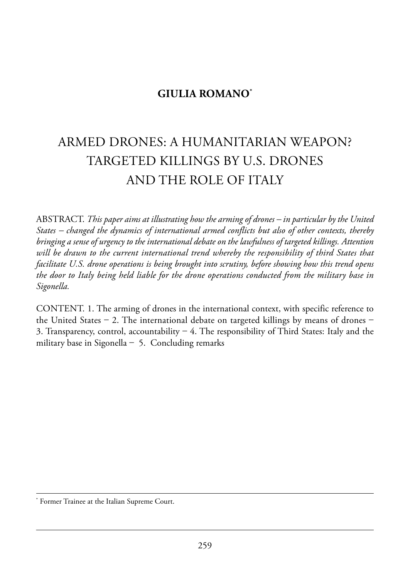# **GIULIA ROMANO\***

# armed drones: a humanitarian weapon? tarGeted killinGs BY u.s. drones and the role of italY

aBstraCt. *This paper aims at illustrating how the arming of drones – in particular by the United States – changed the dynamics of international armed conflicts but also of other contexts, thereby bringing a sense of urgency to the international debate on the lawfulness of targeted killings. Attention will be drawn to the current international trend whereby the responsibility of third States that facilitate U.S. drone operations is being brought into scrutiny, before showing how this trend opens the door to Italy being held liable for the drone operations conducted from the military base in Sigonella.*

CONTENT. 1. The arming of drones in the international context, with specific reference to the United States – 2. The international debate on targeted killings by means of drones – 3. Transparency, control, accountability  $-$  4. The responsibility of Third States: Italy and the military base in Sigonella  $-$  5. Concluding remarks

Former Trainee at the Italian Supreme Court.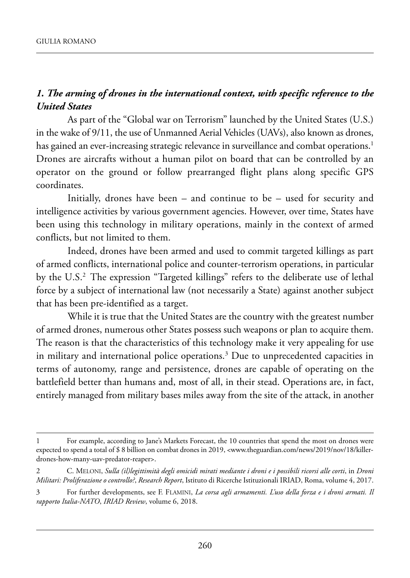## *1. The arming of drones in the international context, with specific reference to the United States*

As part of the "Global war on Terrorism" launched by the United States (U.S.) in the wake of 9/11, the use of Unmanned Aerial Vehicles (UAVs), also known as drones, has gained an ever-increasing strategic relevance in surveillance and combat operations.<sup>1</sup> Drones are aircrafts without a human pilot on board that can be controlled by an operator on the ground or follow prearranged flight plans along specific Gps coordinates.

Initially, drones have been – and continue to be – used for security and intelligence activities by various government agencies. However, over time, States have been using this technology in military operations, mainly in the context of armed conflicts, but not limited to them.

Indeed, drones have been armed and used to commit targeted killings as part of armed conflicts, international police and counter-terrorism operations, in particular by the U.S.<sup>2</sup> The expression "Targeted killings" refers to the deliberate use of lethal force by a subject of international law (not necessarily a State) against another subject that has been pre-identified as a target.

While it is true that the United States are the country with the greatest number of armed drones, numerous other States possess such weapons or plan to acquire them. The reason is that the characteristics of this technology make it very appealing for use in military and international police operations.<sup>3</sup> Due to unprecedented capacities in terms of autonomy, range and persistence, drones are capable of operating on the battlefield better than humans and, most of all, in their stead. Operations are, in fact, entirely managed from military bases miles away from the site of the attack, in another

<sup>1</sup> For example, according to Jane's Markets Forecast, the 10 countries that spend the most on drones were expected to spend a total of \$ 8 billion on combat drones in 2019, <www.theguardian.com/news/2019/nov/18/killerdrones-how-many-uav-predator-reaper>.

<sup>2</sup> C. meloni, *Sulla (il)legittimità degli omicidi mirati mediante i droni e i possibili ricorsi alle corti*, in *Droni Militari: Proliferazione o controllo?, Research Report*, Istituto di Ricerche Istituzionali IRIAD, Roma, volume 4, 2017.

<sup>3</sup> for further developments, see f. flamini, *La corsa agli armamenti. L'uso della forza e i droni armati. Il rapporto Italia-NATO*, *IRIAD Review*, volume 6, 2018.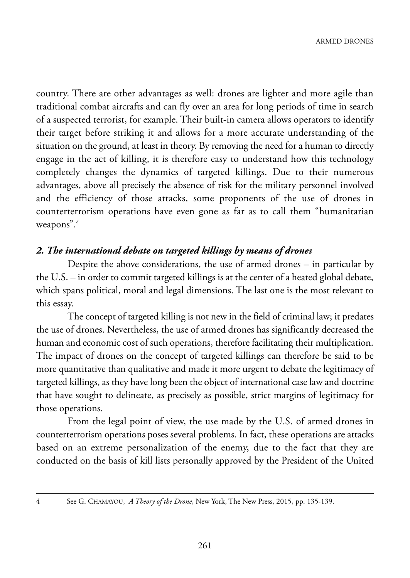country. There are other advantages as well: drones are lighter and more agile than traditional combat aircrafts and can fly over an area for long periods of time in search of a suspected terrorist, for example. Their built-in camera allows operators to identify their target before striking it and allows for a more accurate understanding of the situation on the ground, at least in theory. By removing the need for a human to directly engage in the act of killing, it is therefore easy to understand how this technology completely changes the dynamics of targeted killings. Due to their numerous advantages, above all precisely the absence of risk for the military personnel involved and the efficiency of those attacks, some proponents of the use of drones in counterterrorism operations have even gone as far as to call them "humanitarian weapons".<sup>4</sup>

### *2. The international debate on targeted killings by means of drones*

Despite the above considerations, the use of armed drones  $-$  in particular by the U.S.  $-$  in order to commit targeted killings is at the center of a heated global debate, which spans political, moral and legal dimensions. The last one is the most relevant to this essay.

The concept of targeted killing is not new in the field of criminal law; it predates the use of drones. nevertheless, the use of armed drones has significantly decreased the human and economic cost of such operations, therefore facilitating their multiplication. The impact of drones on the concept of targeted killings can therefore be said to be more quantitative than qualitative and made it more urgent to debate the legitimacy of targeted killings, as they have long been the object of international case law and doctrine that have sought to delineate, as precisely as possible, strict margins of legitimacy for those operations.

From the legal point of view, the use made by the U.S. of armed drones in counterterrorism operations poses several problems. in fact, these operations are attacks based on an extreme personalization of the enemy, due to the fact that they are conducted on the basis of kill lists personally approved by the President of the United

4 see G. ChamaYou, *A Theory of the Drone*, new York, the new press, 2015, pp. 135-139.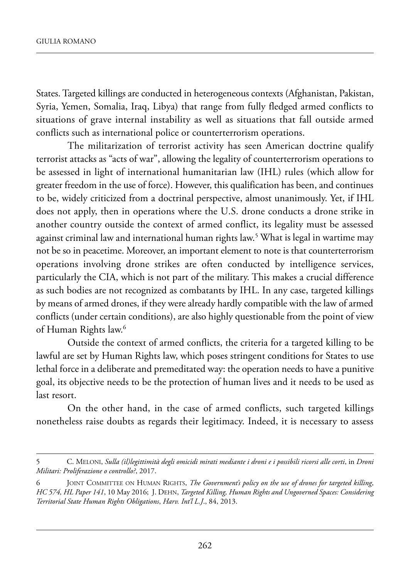states. targeted killings are conducted in heterogeneous contexts (afghanistan, pakistan, syria, Yemen, somalia, iraq, libya) that range from fully fledged armed conflicts to situations of grave internal instability as well as situations that fall outside armed conflicts such as international police or counterterrorism operations.

The militarization of terrorist activity has seen American doctrine qualify terrorist attacks as "acts of war", allowing the legality of counterterrorism operations to be assessed in light of international humanitarian law (ihl) rules (which allow for greater freedom in the use of force). However, this qualification has been, and continues to be, widely criticized from a doctrinal perspective, almost unanimously. Yet, if ihl does not apply, then in operations where the U.S. drone conducts a drone strike in another country outside the context of armed conflict, its legality must be assessed against criminal law and international human rights law.<sup>5</sup> What is legal in wartime may not be so in peacetime. Moreover, an important element to note is that counterterrorism operations involving drone strikes are often conducted by intelligence services, particularly the CIA, which is not part of the military. This makes a crucial difference as such bodies are not recognized as combatants by IHL. In any case, targeted killings by means of armed drones, if they were already hardly compatible with the law of armed conflicts (under certain conditions), are also highly questionable from the point of view of Human Rights law.<sup>6</sup>

Outside the context of armed conflicts, the criteria for a targeted killing to be lawful are set by Human Rights law, which poses stringent conditions for States to use lethal force in a deliberate and premeditated way: the operation needs to have a punitive goal, its objective needs to be the protection of human lives and it needs to be used as last resort.

On the other hand, in the case of armed conflicts, such targeted killings nonetheless raise doubts as regards their legitimacy. indeed, it is necessary to assess

<sup>5</sup> C. meloni, *Sulla (il)legittimità degli omicidi mirati mediante i droni e i possibili ricorsi alle corti*, in *Droni Militari: Proliferazione o controllo?*, 2017.

<sup>6</sup> Joint Committee on human riGhts, *The Government's policy on the use of drones for targeted killing*, *HC 574, HL Paper 141, 10 May 2016; J. DEHN, Targeted Killing, Human Rights and Ungoverned Spaces: Considering Territorial State Human Rights Obligations*, *Harv. Int'l L.J*., 84, 2013.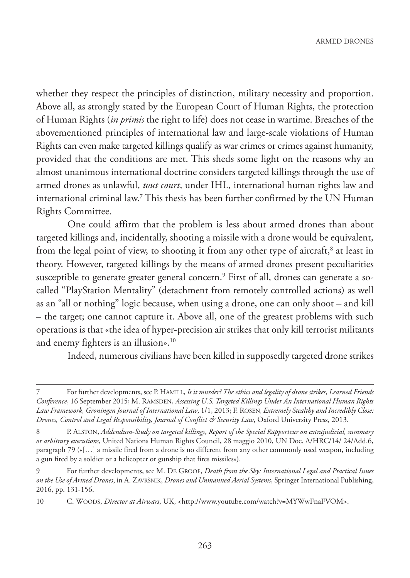whether they respect the principles of distinction, military necessity and proportion. Above all, as strongly stated by the European Court of Human Rights, the protection of Human Rights (*in primis* the right to life) does not cease in wartime. Breaches of the abovementioned principles of international law and large-scale violations of Human Rights can even make targeted killings qualify as war crimes or crimes against humanity, provided that the conditions are met. This sheds some light on the reasons why an almost unanimous international doctrine considers targeted killings through the use of armed drones as unlawful, *tout court*, under IHL, international human rights law and international criminal law.7 This thesis has been further confirmed by the UN Human Rights Committee.

One could affirm that the problem is less about armed drones than about targeted killings and, incidentally, shooting a missile with a drone would be equivalent, from the legal point of view, to shooting it from any other type of aircraft, $^8$  at least in theory. However, targeted killings by the means of armed drones present peculiarities susceptible to generate greater general concern.<sup>9</sup> First of all, drones can generate a socalled "PlayStation Mentality" (detachment from remotely controlled actions) as well as an "all or nothing" logic because, when using a drone, one can only shoot – and kill – the target; one cannot capture it. Above all, one of the greatest problems with such operations is that «the idea of hyper-precision air strikes that only kill terrorist militants and enemy fighters is an illusion».<sup>10</sup>

Indeed, numerous civilians have been killed in supposedly targeted drone strikes

<sup>7</sup> For further developments, see P. HAMILL, *Is it murder? The ethics and legality of drone strikes*, *Learned Friends Conference*, 16 September 2015; M. RAMSDEN, *Assessing U.S. Targeted Killings Under An International Human Rights Law Framework, Groningen Journal of International Law*, 1/1, 2013; F. ROSEN, *Extremely Stealthy and Incredibly Close: Drones, Control and Legal Responsibility, Journal of Conflict & Security Law*, Oxford University Press, 2013.

<sup>8</sup> P. ALSTON, *Addendum-Study on targeted killings*, *Report of the Special Rapporteur on extrajudicial, summary or arbitrary executions*, United Nations Human Rights Council, 28 maggio 2010, UN Doc. A/HRC/14/ 24/Add.6, paragraph 79 («[…] a missile fired from a drone is no different from any other commonly used weapon, including a gun fired by a soldier or a helicopter or gunship that fires missiles»).

<sup>9</sup> For further developments, see M. DE GROOF, *Death from the Sky: International Legal and Practical Issues on the Use of Armed Drones*, in A. ZAVRŠNIK, *Drones and Unmanned Aerial Systems*, Springer International Publishing, 2016, pp. 131-156.

<sup>10</sup> C. WOODS, *Director at Airwars*, UK, [<http://www.youtube.com/watch?v=MYWwFnaFVOM>.](https://www.youtube.com/watch?v=MYWwFnaFVOM)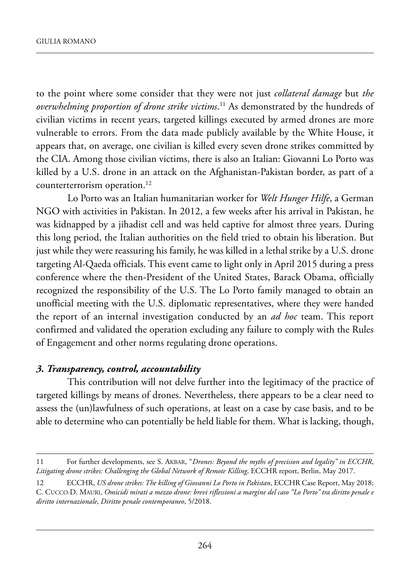to the point where some consider that they were not just *collateral damage* but *the overwhelming proportion of drone strike victims*. <sup>11</sup> as demonstrated by the hundreds of civilian victims in recent years, targeted killings executed by armed drones are more vulnerable to errors. From the data made publicly available by the White House, it appears that, on average, one civilian is killed every seven drone strikes committed by the CIA. Among those civilian victims, there is also an Italian: Giovanni Lo Porto was killed by a U.S. drone in an attack on the Afghanistan-Pakistan border, as part of a counterterrorism operation.<sup>12</sup>

lo porto was an italian humanitarian worker for *Welt Hunger Hilfe*, a German nGo with activities in pakistan. in 2012, a few weeks after his arrival in pakistan, he was kidnapped by a jihadist cell and was held captive for almost three years. During this long period, the Italian authorities on the field tried to obtain his liberation. But just while they were reassuring his family, he was killed in a lethal strike by a U.S. drone targeting Al-Qaeda officials. This event came to light only in April 2015 during a press conference where the then-President of the United States, Barack Obama, officially recognized the responsibility of the U.S. The Lo Porto family managed to obtain an unofficial meeting with the U.S. diplomatic representatives, where they were handed the report of an internal investigation conducted by an *ad hoc* team. This report confirmed and validated the operation excluding any failure to comply with the Rules of Engagement and other norms regulating drone operations.

#### *3. Transparency, control, accountability*

This contribution will not delve further into the legitimacy of the practice of targeted killings by means of drones. Nevertheless, there appears to be a clear need to assess the (un)lawfulness of such operations, at least on a case by case basis, and to be able to determine who can potentially be held liable for them. what is lacking, though,

<sup>11</sup> For further developments, see S. AKBAR, "*Drones: Beyond the myths of precision and legality" in ECCHR*, Litigating drone strikes: Challenging the Global Network of Remote Killing, ECCHR report, Berlin, May 2017.

<sup>12</sup> ECCHR, *US drone strikes: The killing of Giovanni Lo Porto in Pakistan*, ECCHR Case Report, May 2018; C. CuCCo-d. mauri, *Omicidi mirati a mezzo drone: brevi riflessioni a margine del caso "Lo Porto" tra diritto penale e diritto internazionale*, *Diritto penale contemporaneo*, 5/2018.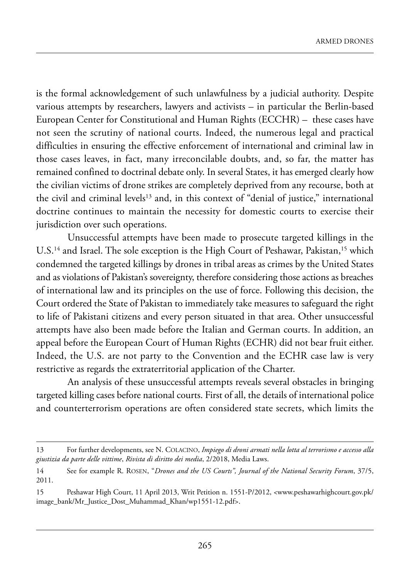is the formal acknowledgement of such unlawfulness by a judicial authority. Despite various attempts by researchers, lawyers and activists – in particular the Berlin-based European Center for Constitutional and Human Rights (ECCHR) – these cases have not seen the scrutiny of national courts. indeed, the numerous legal and practical difficulties in ensuring the effective enforcement of international and criminal law in those cases leaves, in fact, many irreconcilable doubts, and, so far, the matter has remained confined to doctrinal debate only. In several States, it has emerged clearly how the civilian victims of drone strikes are completely deprived from any recourse, both at the civil and criminal levels<sup>13</sup> and, in this context of "denial of justice," international doctrine continues to maintain the necessity for domestic courts to exercise their jurisdiction over such operations.

Unsuccessful attempts have been made to prosecute targeted killings in the U.S.<sup>14</sup> and Israel. The sole exception is the High Court of Peshawar, Pakistan,<sup>15</sup> which condemned the targeted killings by drones in tribal areas as crimes by the United States and as violations of pakistan's sovereignty, therefore considering those actions as breaches of international law and its principles on the use of force. following this decision, the Court ordered the State of Pakistan to immediately take measures to safeguard the right to life of Pakistani citizens and every person situated in that area. Other unsuccessful attempts have also been made before the Italian and German courts. In addition, an appeal before the European Court of Human Rights (ECHR) did not bear fruit either. Indeed, the U.S. are not party to the Convention and the ECHR case law is very restrictive as regards the extraterritorial application of the Charter.

an analysis of these unsuccessful attempts reveals several obstacles in bringing targeted killing cases before national courts. first of all, the details of international police and counterterrorism operations are often considered state secrets, which limits the

<sup>13</sup> For further developments, see N. COLACINO, *Impiego di droni armati nella lotta al terrorismo e accesso alla giustizia da parte delle vittime*, *Rivista di diritto dei media*, 2/2018, media laws.

<sup>14</sup> See for example R. ROSEN, "*Drones and the US Courts", Journal of the National Security Forum*, 37/5, 2011.

<sup>15</sup> peshawar high Court, 11 april 2013, writ petition n. 1551-p/2012, <www.peshawarhighcourt.gov.pk/ image\_bank/Mr\_Justice\_Dost\_Muhammad\_Khan/wp1551-12.pdf>.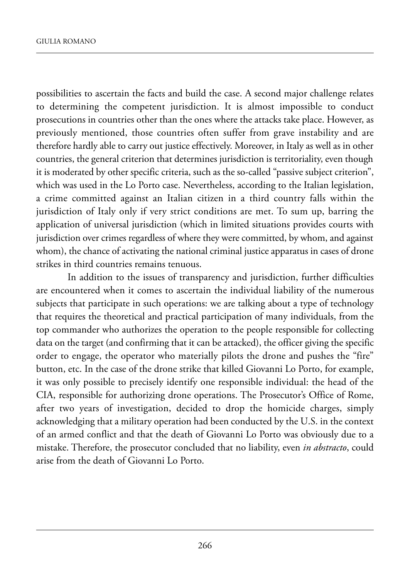possibilities to ascertain the facts and build the case. A second major challenge relates to determining the competent jurisdiction. it is almost impossible to conduct prosecutions in countries other than the ones where the attacks take place. However, as previously mentioned, those countries often suffer from grave instability and are therefore hardly able to carry out justice effectively. Moreover, in Italy as well as in other countries, the general criterion that determines jurisdiction is territoriality, even though it is moderated by other specific criteria, such as the so-called "passive subject criterion", which was used in the Lo Porto case. Nevertheless, according to the Italian legislation, a crime committed against an Italian citizen in a third country falls within the jurisdiction of Italy only if very strict conditions are met. To sum up, barring the application of universal jurisdiction (which in limited situations provides courts with jurisdiction over crimes regardless of where they were committed, by whom, and against whom), the chance of activating the national criminal justice apparatus in cases of drone strikes in third countries remains tenuous.

In addition to the issues of transparency and jurisdiction, further difficulties are encountered when it comes to ascertain the individual liability of the numerous subjects that participate in such operations: we are talking about a type of technology that requires the theoretical and practical participation of many individuals, from the top commander who authorizes the operation to the people responsible for collecting data on the target (and confirming that it can be attacked), the officer giving the specific order to engage, the operator who materially pilots the drone and pushes the "fire" button, etc. In the case of the drone strike that killed Giovanni Lo Porto, for example, it was only possible to precisely identify one responsible individual: the head of the CIA, responsible for authorizing drone operations. The Prosecutor's Office of Rome, after two years of investigation, decided to drop the homicide charges, simply acknowledging that a military operation had been conducted by the U.S. in the context of an armed conflict and that the death of Giovanni Lo Porto was obviously due to a mistake. therefore, the prosecutor concluded that no liability, even *in abstracto*, could arise from the death of Giovanni Lo Porto.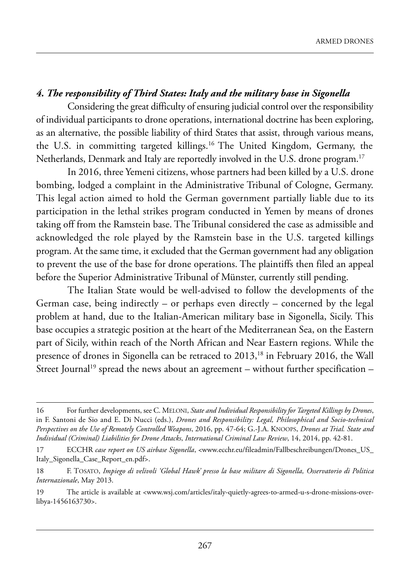## *4. The responsibility of Third States: Italy and the military base in Sigonella*

Considering the great difficulty of ensuring judicial control over the responsibility of individual participants to drone operations, international doctrine has been exploring, as an alternative, the possible liability of third States that assist, through various means, the U.S. in committing targeted killings.<sup>16</sup> The United Kingdom, Germany, the Netherlands, Denmark and Italy are reportedly involved in the U.S. drone program.<sup>17</sup>

In 2016, three Yemeni citizens, whose partners had been killed by a U.S. drone bombing, lodged a complaint in the Administrative Tribunal of Cologne, Germany. This legal action aimed to hold the German government partially liable due to its participation in the lethal strikes program conducted in Yemen by means of drones taking off from the Ramstein base. The Tribunal considered the case as admissible and acknowledged the role played by the Ramstein base in the U.S. targeted killings program. At the same time, it excluded that the German government had any obligation to prevent the use of the base for drone operations. The plaintiffs then filed an appeal before the Superior Administrative Tribunal of Münster, currently still pending.

The Italian State would be well-advised to follow the developments of the German case, being indirectly – or perhaps even directly – concerned by the legal problem at hand, due to the Italian-American military base in Sigonella, Sicily. This base occupies a strategic position at the heart of the Mediterranean Sea, on the Eastern part of Sicily, within reach of the North African and Near Eastern regions. While the presence of drones in Sigonella can be retraced to 2013,<sup>18</sup> in February 2016, the Wall Street Journal<sup>19</sup> spread the news about an agreement – without further specification –

<sup>16</sup> For further developments, see C. MELONI, *State and Individual Responsibility for Targeted Killings by Drones*, in F. Santoni de Sio and E. Di Nucci (eds.), *Drones and Responsibility: Legal, Philosophical and Socio-technical Perspectives on the Use of Remotely Controlled Weapons*, 2016, pp. 47-64; G.-J.a. knoops, *Drones at Trial. State and Individual (Criminal) Liabilities for Drone Attacks*, *International Criminal Law Review*, 14, 2014, pp. 42-81.

<sup>17</sup> ECCHR *case report on US airbase Sigonella*, <www.ecchr.eu/fileadmin/Fallbeschreibungen/Drones\_US\_ Italy\_Sigonella\_Case\_Report\_en.pdf>.

<sup>18</sup> f. tosato, *Impiego di velivoli 'Global Hawk' presso la base militare di Sigonella, Osservatorio di Politica Internazionale*, may 2013.

<sup>19</sup> The article is available at <www.wsj.com/articles/italy-quietly-agrees-to-armed-u-s-drone-missions-overlibya-1456163730>.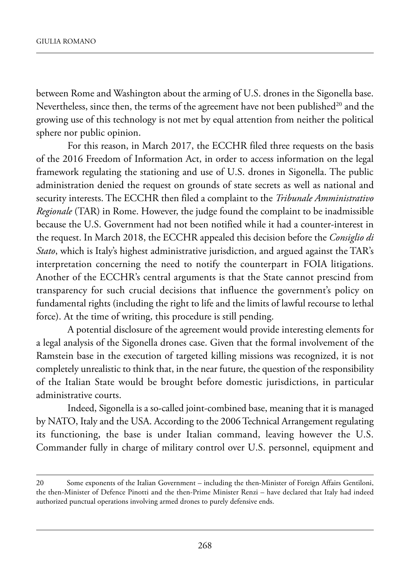between Rome and Washington about the arming of U.S. drones in the Sigonella base. Nevertheless, since then, the terms of the agreement have not been published $^{20}$  and the growing use of this technology is not met by equal attention from neither the political sphere nor public opinion.

For this reason, in March 2017, the ECCHR filed three requests on the basis of the 2016 freedom of information act, in order to access information on the legal framework regulating the stationing and use of U.S. drones in Sigonella. The public administration denied the request on grounds of state secrets as well as national and security interests. The ECCHR then filed a complaint to the *Tribunale Amministrativo Regionale* (TAR) in Rome. However, the judge found the complaint to be inadmissible because the U.S. Government had not been notified while it had a counter-interest in the request. In March 2018, the ECCHR appealed this decision before the *Consiglio di Stato*, which is Italy's highest administrative jurisdiction, and argued against the TAR's interpretation concerning the need to notify the counterpart in FOIA litigations. Another of the ECCHR's central arguments is that the State cannot prescind from transparency for such crucial decisions that influence the government's policy on fundamental rights (including the right to life and the limits of lawful recourse to lethal force). At the time of writing, this procedure is still pending.

a potential disclosure of the agreement would provide interesting elements for a legal analysis of the sigonella drones case. Given that the formal involvement of the Ramstein base in the execution of targeted killing missions was recognized, it is not completely unrealistic to think that, in the near future, the question of the responsibility of the Italian State would be brought before domestic jurisdictions, in particular administrative courts.

Indeed, Sigonella is a so-called joint-combined base, meaning that it is managed by NATO, Italy and the USA. According to the 2006 Technical Arrangement regulating its functioning, the base is under Italian command, leaving however the U.S. Commander fully in charge of military control over U.S. personnel, equipment and

<sup>20</sup> some exponents of the italian Government – including the then-minister of foreign affairs Gentiloni, the then-Minister of Defence Pinotti and the then-Prime Minister Renzi – have declared that Italy had indeed authorized punctual operations involving armed drones to purely defensive ends.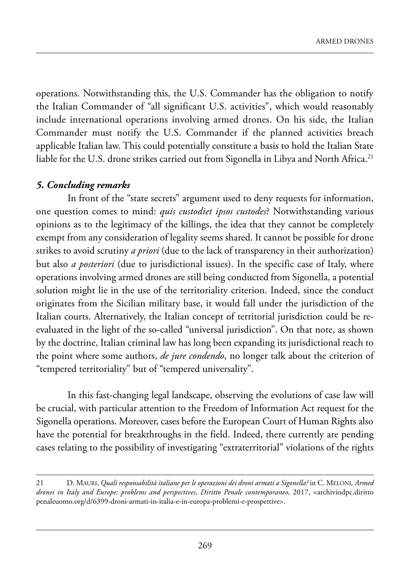operations. Notwithstanding this, the U.S. Commander has the obligation to notify the Italian Commander of "all significant U.S. activities", which would reasonably include international operations involving armed drones. On his side, the Italian Commander must notify the U.S. Commander if the planned activities breach applicable Italian law. This could potentially constitute a basis to hold the Italian State liable for the U.S. drone strikes carried out from Sigonella in Libya and North Africa.<sup>21</sup>

#### *5. Concluding remarks*

In front of the "state secrets" argument used to deny requests for information, one question comes to mind: *quis custodiet ipsos custodes*? Notwithstanding various opinions as to the legitimacy of the killings, the idea that they cannot be completely exempt from any consideration of legality seems shared. It cannot be possible for drone strikes to avoid scrutiny *a priori* (due to the lack of transparency in their authorization) but also *a posteriori* (due to jurisdictional issues). in the specific case of italy, where operations involving armed drones are still being conducted from sigonella, a potential solution might lie in the use of the territoriality criterion. Indeed, since the conduct originates from the sicilian military base, it would fall under the jurisdiction of the Italian courts. Alternatively, the Italian concept of territorial jurisdiction could be reevaluated in the light of the so-called "universal jurisdiction". On that note, as shown by the doctrine, Italian criminal law has long been expanding its jurisdictional reach to the point where some authors, *de jure condendo*, no longer talk about the criterion of "tempered territoriality" but of "tempered universality".

In this fast-changing legal landscape, observing the evolutions of case law will be crucial, with particular attention to the Freedom of Information Act request for the Sigonella operations. Moreover, cases before the European Court of Human Rights also have the potential for breakthroughs in the field. Indeed, there currently are pending cases relating to the possibility of investigating "extraterritorial" violations of the rights

<sup>21</sup> D. MAURI, *Quali responsabilità italiane per le operazioni dei droni armati a Sigonella?* in C. MELONI, Armed *drones in Italy and Europe: problems and perspectives*, *Diritto Penale contemporaneo,* 2017, [<archiviodpc.diritto](archiviodpc.dirittopenaleuomo.org/d/6399-droni-armati-in-italia-e-in-europa-problemi-e-prospettive) [penaleuomo.org/d/6399-droni-armati-in-italia-e-in-europa-problemi-e-prospettive>.](archiviodpc.dirittopenaleuomo.org/d/6399-droni-armati-in-italia-e-in-europa-problemi-e-prospettive)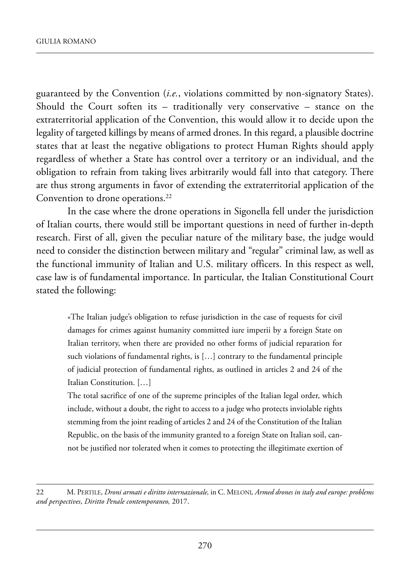guaranteed by the Convention (*i.e.*, violations committed by non-signatory states). Should the Court soften its  $-$  traditionally very conservative  $-$  stance on the extraterritorial application of the Convention, this would allow it to decide upon the legality of targeted killings by means of armed drones. in this regard, a plausible doctrine states that at least the negative obligations to protect Human Rights should apply regardless of whether a state has control over a territory or an individual, and the obligation to refrain from taking lives arbitrarily would fall into that category. There are thus strong arguments in favor of extending the extraterritorial application of the Convention to drone operations.<sup>22</sup>

In the case where the drone operations in Sigonella fell under the jurisdiction of italian courts, there would still be important questions in need of further in-depth research. first of all, given the peculiar nature of the military base, the judge would need to consider the distinction between military and "regular" criminal law, as well as the functional immunity of Italian and U.S. military officers. In this respect as well, case law is of fundamental importance. in particular, the italian Constitutional Court stated the following:

«The Italian judge's obligation to refuse jurisdiction in the case of requests for civil damages for crimes against humanity committed iure imperii by a foreign State on Italian territory, when there are provided no other forms of judicial reparation for such violations of fundamental rights, is […] contrary to the fundamental principle of judicial protection of fundamental rights, as outlined in articles 2 and 24 of the Italian Constitution. [...]

The total sacrifice of one of the supreme principles of the Italian legal order, which include, without a doubt, the right to access to a judge who protects inviolable rights stemming from the joint reading of articles 2 and 24 of the Constitution of the Italian Republic, on the basis of the immunity granted to a foreign State on Italian soil, cannot be justified nor tolerated when it comes to protecting the illegitimate exertion of

<sup>22</sup> M. PERTILE, *Droni armati e diritto internazionale*, in C. MELONI, Armed drones in italy and europe: problems *and perspectives*, *Diritto Penale contemporaneo,* 2017.